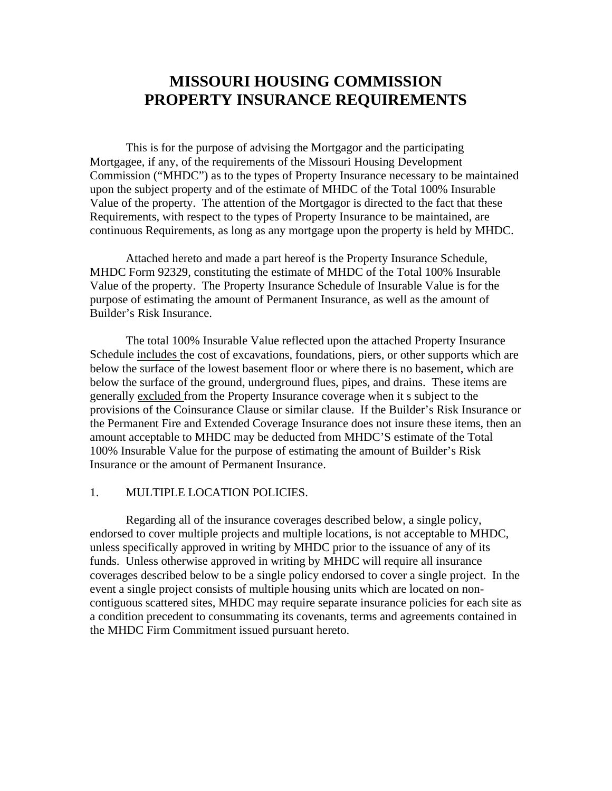# **MISSOURI HOUSING COMMISSION PROPERTY INSURANCE REQUIREMENTS**

 This is for the purpose of advising the Mortgagor and the participating Mortgagee, if any, of the requirements of the Missouri Housing Development Commission ("MHDC") as to the types of Property Insurance necessary to be maintained upon the subject property and of the estimate of MHDC of the Total 100% Insurable Value of the property. The attention of the Mortgagor is directed to the fact that these Requirements, with respect to the types of Property Insurance to be maintained, are continuous Requirements, as long as any mortgage upon the property is held by MHDC.

 Attached hereto and made a part hereof is the Property Insurance Schedule, MHDC Form 92329, constituting the estimate of MHDC of the Total 100% Insurable Value of the property. The Property Insurance Schedule of Insurable Value is for the purpose of estimating the amount of Permanent Insurance, as well as the amount of Builder's Risk Insurance.

 The total 100% Insurable Value reflected upon the attached Property Insurance Schedule includes the cost of excavations, foundations, piers, or other supports which are below the surface of the lowest basement floor or where there is no basement, which are below the surface of the ground, underground flues, pipes, and drains. These items are generally excluded from the Property Insurance coverage when it s subject to the provisions of the Coinsurance Clause or similar clause. If the Builder's Risk Insurance or the Permanent Fire and Extended Coverage Insurance does not insure these items, then an amount acceptable to MHDC may be deducted from MHDC'S estimate of the Total 100% Insurable Value for the purpose of estimating the amount of Builder's Risk Insurance or the amount of Permanent Insurance.

#### 1. MULTIPLE LOCATION POLICIES.

 Regarding all of the insurance coverages described below, a single policy, endorsed to cover multiple projects and multiple locations, is not acceptable to MHDC, unless specifically approved in writing by MHDC prior to the issuance of any of its funds. Unless otherwise approved in writing by MHDC will require all insurance coverages described below to be a single policy endorsed to cover a single project. In the event a single project consists of multiple housing units which are located on noncontiguous scattered sites, MHDC may require separate insurance policies for each site as a condition precedent to consummating its covenants, terms and agreements contained in the MHDC Firm Commitment issued pursuant hereto.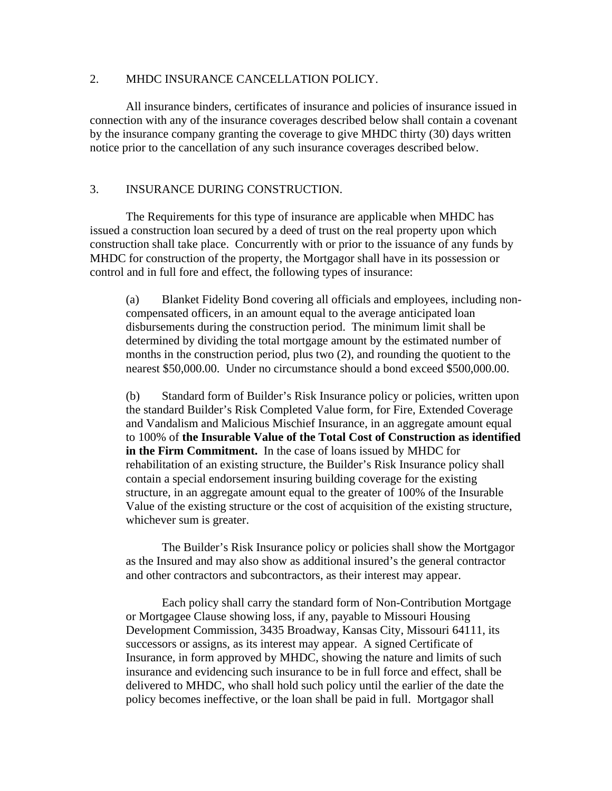## 2. MHDC INSURANCE CANCELLATION POLICY.

 All insurance binders, certificates of insurance and policies of insurance issued in connection with any of the insurance coverages described below shall contain a covenant by the insurance company granting the coverage to give MHDC thirty (30) days written notice prior to the cancellation of any such insurance coverages described below.

## 3. INSURANCE DURING CONSTRUCTION.

 The Requirements for this type of insurance are applicable when MHDC has issued a construction loan secured by a deed of trust on the real property upon which construction shall take place. Concurrently with or prior to the issuance of any funds by MHDC for construction of the property, the Mortgagor shall have in its possession or control and in full fore and effect, the following types of insurance:

(a) Blanket Fidelity Bond covering all officials and employees, including noncompensated officers, in an amount equal to the average anticipated loan disbursements during the construction period. The minimum limit shall be determined by dividing the total mortgage amount by the estimated number of months in the construction period, plus two (2), and rounding the quotient to the nearest \$50,000.00. Under no circumstance should a bond exceed \$500,000.00.

(b) Standard form of Builder's Risk Insurance policy or policies, written upon the standard Builder's Risk Completed Value form, for Fire, Extended Coverage and Vandalism and Malicious Mischief Insurance, in an aggregate amount equal to 100% of **the Insurable Value of the Total Cost of Construction as identified in the Firm Commitment.** In the case of loans issued by MHDC for rehabilitation of an existing structure, the Builder's Risk Insurance policy shall contain a special endorsement insuring building coverage for the existing structure, in an aggregate amount equal to the greater of 100% of the Insurable Value of the existing structure or the cost of acquisition of the existing structure, whichever sum is greater.

 The Builder's Risk Insurance policy or policies shall show the Mortgagor as the Insured and may also show as additional insured's the general contractor and other contractors and subcontractors, as their interest may appear.

Each policy shall carry the standard form of Non-Contribution Mortgage or Mortgagee Clause showing loss, if any, payable to Missouri Housing Development Commission, 3435 Broadway, Kansas City, Missouri 64111, its successors or assigns, as its interest may appear. A signed Certificate of Insurance, in form approved by MHDC, showing the nature and limits of such insurance and evidencing such insurance to be in full force and effect, shall be delivered to MHDC, who shall hold such policy until the earlier of the date the policy becomes ineffective, or the loan shall be paid in full. Mortgagor shall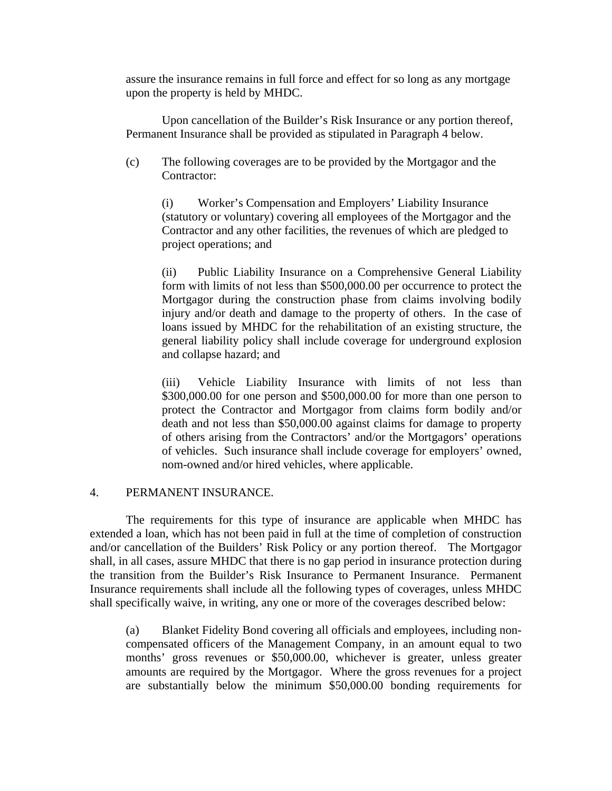assure the insurance remains in full force and effect for so long as any mortgage upon the property is held by MHDC.

Upon cancellation of the Builder's Risk Insurance or any portion thereof, Permanent Insurance shall be provided as stipulated in Paragraph 4 below.

(c) The following coverages are to be provided by the Mortgagor and the Contractor:

(i) Worker's Compensation and Employers' Liability Insurance (statutory or voluntary) covering all employees of the Mortgagor and the Contractor and any other facilities, the revenues of which are pledged to project operations; and

(ii) Public Liability Insurance on a Comprehensive General Liability form with limits of not less than \$500,000.00 per occurrence to protect the Mortgagor during the construction phase from claims involving bodily injury and/or death and damage to the property of others. In the case of loans issued by MHDC for the rehabilitation of an existing structure, the general liability policy shall include coverage for underground explosion and collapse hazard; and

(iii) Vehicle Liability Insurance with limits of not less than \$300,000.00 for one person and \$500,000.00 for more than one person to protect the Contractor and Mortgagor from claims form bodily and/or death and not less than \$50,000.00 against claims for damage to property of others arising from the Contractors' and/or the Mortgagors' operations of vehicles. Such insurance shall include coverage for employers' owned, nom-owned and/or hired vehicles, where applicable.

## 4. PERMANENT INSURANCE.

 The requirements for this type of insurance are applicable when MHDC has extended a loan, which has not been paid in full at the time of completion of construction and/or cancellation of the Builders' Risk Policy or any portion thereof. The Mortgagor shall, in all cases, assure MHDC that there is no gap period in insurance protection during the transition from the Builder's Risk Insurance to Permanent Insurance. Permanent Insurance requirements shall include all the following types of coverages, unless MHDC shall specifically waive, in writing, any one or more of the coverages described below:

(a) Blanket Fidelity Bond covering all officials and employees, including noncompensated officers of the Management Company, in an amount equal to two months' gross revenues or \$50,000.00, whichever is greater, unless greater amounts are required by the Mortgagor. Where the gross revenues for a project are substantially below the minimum \$50,000.00 bonding requirements for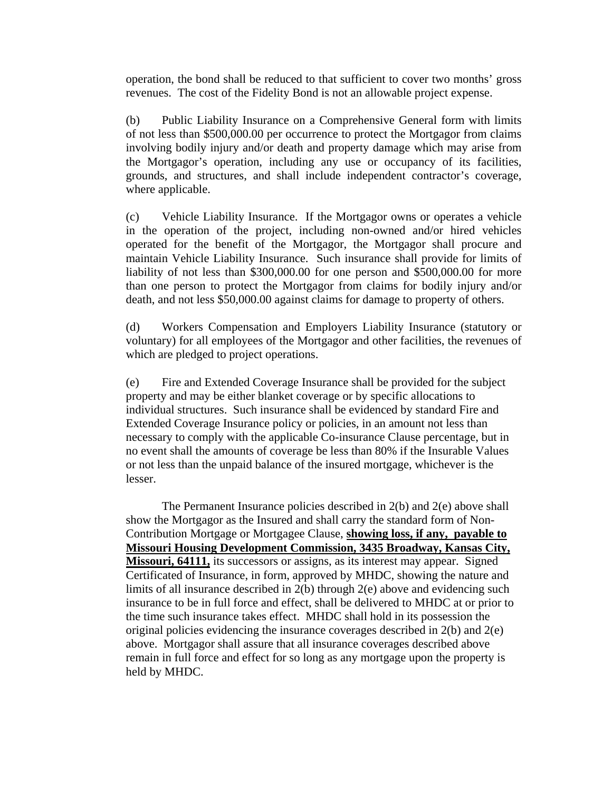operation, the bond shall be reduced to that sufficient to cover two months' gross revenues. The cost of the Fidelity Bond is not an allowable project expense.

(b) Public Liability Insurance on a Comprehensive General form with limits of not less than \$500,000.00 per occurrence to protect the Mortgagor from claims involving bodily injury and/or death and property damage which may arise from the Mortgagor's operation, including any use or occupancy of its facilities, grounds, and structures, and shall include independent contractor's coverage, where applicable.

(c) Vehicle Liability Insurance. If the Mortgagor owns or operates a vehicle in the operation of the project, including non-owned and/or hired vehicles operated for the benefit of the Mortgagor, the Mortgagor shall procure and maintain Vehicle Liability Insurance. Such insurance shall provide for limits of liability of not less than \$300,000.00 for one person and \$500,000.00 for more than one person to protect the Mortgagor from claims for bodily injury and/or death, and not less \$50,000.00 against claims for damage to property of others.

(d) Workers Compensation and Employers Liability Insurance (statutory or voluntary) for all employees of the Mortgagor and other facilities, the revenues of which are pledged to project operations.

(e) Fire and Extended Coverage Insurance shall be provided for the subject property and may be either blanket coverage or by specific allocations to individual structures. Such insurance shall be evidenced by standard Fire and Extended Coverage Insurance policy or policies, in an amount not less than necessary to comply with the applicable Co-insurance Clause percentage, but in no event shall the amounts of coverage be less than 80% if the Insurable Values or not less than the unpaid balance of the insured mortgage, whichever is the lesser.

 The Permanent Insurance policies described in 2(b) and 2(e) above shall show the Mortgagor as the Insured and shall carry the standard form of Non-Contribution Mortgage or Mortgagee Clause, **showing loss, if any, payable to Missouri Housing Development Commission, 3435 Broadway, Kansas City, Missouri, 64111,** its successors or assigns, as its interest may appear. Signed Certificated of Insurance, in form, approved by MHDC, showing the nature and limits of all insurance described in 2(b) through 2(e) above and evidencing such insurance to be in full force and effect, shall be delivered to MHDC at or prior to the time such insurance takes effect. MHDC shall hold in its possession the original policies evidencing the insurance coverages described in  $2(b)$  and  $2(e)$ above. Mortgagor shall assure that all insurance coverages described above remain in full force and effect for so long as any mortgage upon the property is held by MHDC.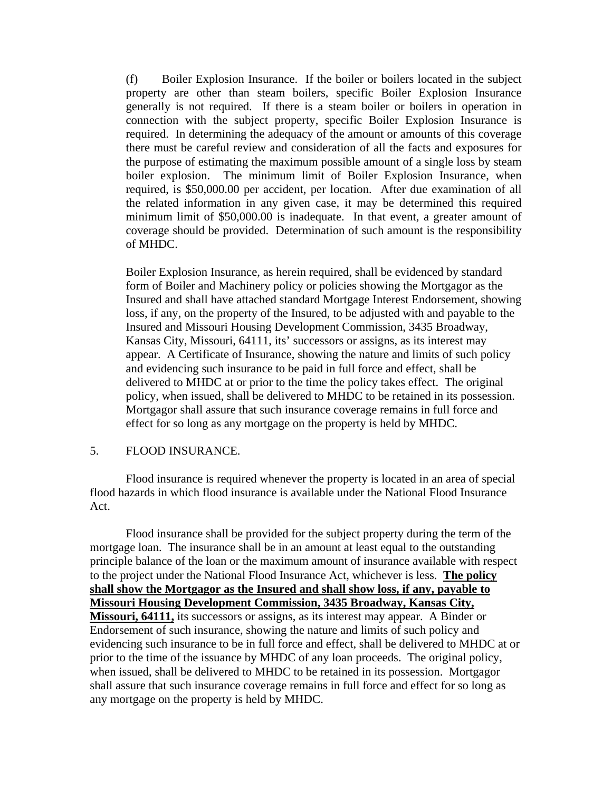(f) Boiler Explosion Insurance. If the boiler or boilers located in the subject property are other than steam boilers, specific Boiler Explosion Insurance generally is not required. If there is a steam boiler or boilers in operation in connection with the subject property, specific Boiler Explosion Insurance is required. In determining the adequacy of the amount or amounts of this coverage there must be careful review and consideration of all the facts and exposures for the purpose of estimating the maximum possible amount of a single loss by steam boiler explosion. The minimum limit of Boiler Explosion Insurance, when required, is \$50,000.00 per accident, per location. After due examination of all the related information in any given case, it may be determined this required minimum limit of \$50,000.00 is inadequate. In that event, a greater amount of coverage should be provided. Determination of such amount is the responsibility of MHDC.

Boiler Explosion Insurance, as herein required, shall be evidenced by standard form of Boiler and Machinery policy or policies showing the Mortgagor as the Insured and shall have attached standard Mortgage Interest Endorsement, showing loss, if any, on the property of the Insured, to be adjusted with and payable to the Insured and Missouri Housing Development Commission, 3435 Broadway, Kansas City, Missouri, 64111, its' successors or assigns, as its interest may appear. A Certificate of Insurance, showing the nature and limits of such policy and evidencing such insurance to be paid in full force and effect, shall be delivered to MHDC at or prior to the time the policy takes effect. The original policy, when issued, shall be delivered to MHDC to be retained in its possession. Mortgagor shall assure that such insurance coverage remains in full force and effect for so long as any mortgage on the property is held by MHDC.

#### 5. FLOOD INSURANCE.

 Flood insurance is required whenever the property is located in an area of special flood hazards in which flood insurance is available under the National Flood Insurance Act.

 Flood insurance shall be provided for the subject property during the term of the mortgage loan. The insurance shall be in an amount at least equal to the outstanding principle balance of the loan or the maximum amount of insurance available with respect to the project under the National Flood Insurance Act, whichever is less. **The policy shall show the Mortgagor as the Insured and shall show loss, if any, payable to Missouri Housing Development Commission, 3435 Broadway, Kansas City, Missouri, 64111,** its successors or assigns, as its interest may appear. A Binder or Endorsement of such insurance, showing the nature and limits of such policy and evidencing such insurance to be in full force and effect, shall be delivered to MHDC at or prior to the time of the issuance by MHDC of any loan proceeds. The original policy, when issued, shall be delivered to MHDC to be retained in its possession. Mortgagor shall assure that such insurance coverage remains in full force and effect for so long as any mortgage on the property is held by MHDC.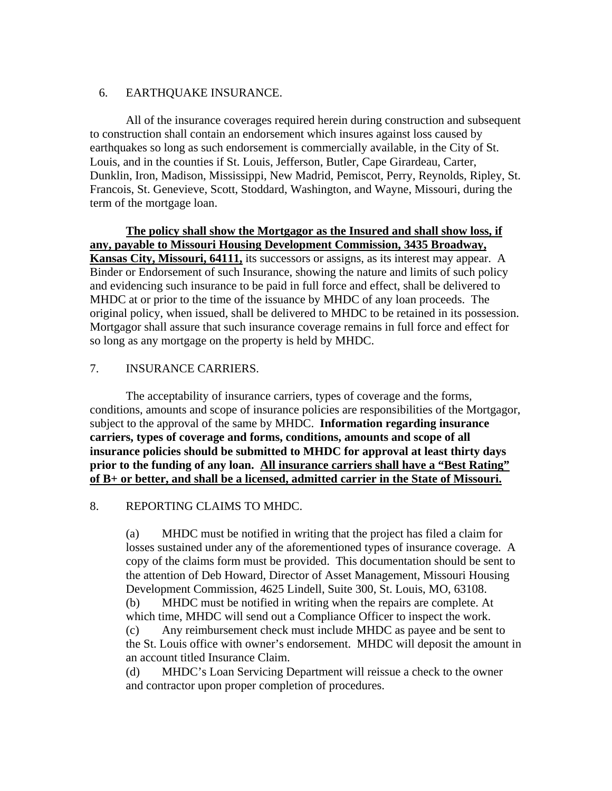## 6. EARTHQUAKE INSURANCE.

 All of the insurance coverages required herein during construction and subsequent to construction shall contain an endorsement which insures against loss caused by earthquakes so long as such endorsement is commercially available, in the City of St. Louis, and in the counties if St. Louis, Jefferson, Butler, Cape Girardeau, Carter, Dunklin, Iron, Madison, Mississippi, New Madrid, Pemiscot, Perry, Reynolds, Ripley, St. Francois, St. Genevieve, Scott, Stoddard, Washington, and Wayne, Missouri, during the term of the mortgage loan.

**The policy shall show the Mortgagor as the Insured and shall show loss, if any, payable to Missouri Housing Development Commission, 3435 Broadway, Kansas City, Missouri, 64111,** its successors or assigns, as its interest may appear. A Binder or Endorsement of such Insurance, showing the nature and limits of such policy and evidencing such insurance to be paid in full force and effect, shall be delivered to MHDC at or prior to the time of the issuance by MHDC of any loan proceeds. The original policy, when issued, shall be delivered to MHDC to be retained in its possession. Mortgagor shall assure that such insurance coverage remains in full force and effect for so long as any mortgage on the property is held by MHDC.

## 7. INSURANCE CARRIERS.

 The acceptability of insurance carriers, types of coverage and the forms, conditions, amounts and scope of insurance policies are responsibilities of the Mortgagor, subject to the approval of the same by MHDC. **Information regarding insurance carriers, types of coverage and forms, conditions, amounts and scope of all insurance policies should be submitted to MHDC for approval at least thirty days prior to the funding of any loan. All insurance carriers shall have a "Best Rating" of B+ or better, and shall be a licensed, admitted carrier in the State of Missouri.**

## 8. REPORTING CLAIMS TO MHDC.

(a) MHDC must be notified in writing that the project has filed a claim for losses sustained under any of the aforementioned types of insurance coverage. A copy of the claims form must be provided. This documentation should be sent to the attention of Deb Howard, Director of Asset Management, Missouri Housing Development Commission, 4625 Lindell, Suite 300, St. Louis, MO, 63108.

(b) MHDC must be notified in writing when the repairs are complete. At which time, MHDC will send out a Compliance Officer to inspect the work.

(c) Any reimbursement check must include MHDC as payee and be sent to the St. Louis office with owner's endorsement. MHDC will deposit the amount in an account titled Insurance Claim.

(d) MHDC's Loan Servicing Department will reissue a check to the owner and contractor upon proper completion of procedures.